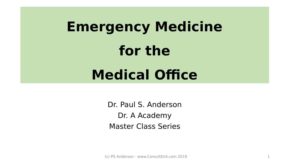# **Emergency Medicine for the Medical Office**

Dr. Paul S. Anderson Dr. A Academy Master Class Series

(c) PS Anderson - www.ConsultDrA.com 2019 1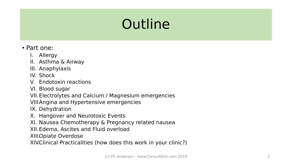## **Outline**

- Part one:
	- I. Allergy
	- II. Asthma & Airway
	- III. Anaphylaxis
	- IV. Shock
	- V. Endotoxin reactions
	- VI. Blood sugar
	- VII.Electrolytes and Calcium / Magnesium emergencies
	- VIII Angina and Hypertensive emergencies
	- IX. Dehydration
	- X. Hangover and Neurotoxic Events
	- XI. Nausea Chemotherapy & Pregnancy related nausea
	- XII.Edema, Ascites and Fluid overload

XIII.Opiate Overdose

XIV.Clinical Practicalities (how does this work in your clinic?)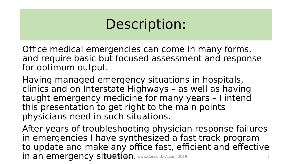## Description:

Office medical emergencies can come in many forms, and require basic but focused assessment and response for optimum output.

Having managed emergency situations in hospitals, clinics and on Interstate Highways – as well as having taught emergency medicine for many years – I intend this presentation to get right to the main points physicians need in such situations.

After years of troubleshooting physician response failures in emergencies I have synthesized a fast track program to update and make any office fast, efficient and effective in an emergency situation. (WWW.ConsultDrA.com 2019 3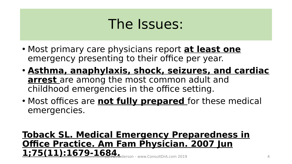## The Issues:

- Most primary care physicians report **at least one**  emergency presenting to their office per year.
- **Asthma, anaphylaxis, shock, seizures, and cardiac arrest** are among the most common adult and childhood emergencies in the office setting.
- Most offices are **not fully prepared** for these medical emergencies.

#### **Toback SL. Medical Emergency Preparedness in Office Practice. Am Fam Physician. 2007 Jun**  $1;75(11):1679-1684$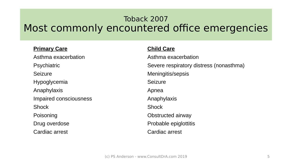### Toback 2007 Most commonly encountered office emergencies

#### **Primary Care Child Care**

Asthma exacerbation **Asthma exacerbation** Seizure **Meningitis/sepsis** Hypoglycemia and Seizure Anaphylaxis **Anaphylaxis** Apnea Impaired consciousness **Anaphylaxis** Shock Shock Shock Shock Poisoning **Districted** airway Drug overdose **Probable epiglottitis** Cardiac arrest Cardiac arrest

Psychiatric **Network** Severe respiratory distress (nonasthma)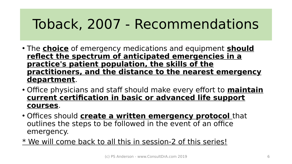## Toback, 2007 - Recommendations

- The **choice** of emergency medications and equipment **should reflect the spectrum of anticipated emergencies in a practice's patient population, the skills of the practitioners, and the distance to the nearest emergency department**.
- Office physicians and staff should make every effort to **maintain current certification in basic or advanced life support courses**.
- Offices should **create a written emergency protocol** that outlines the steps to be followed in the event of an office emergency.
- \* We will come back to all this in session-2 of this series!